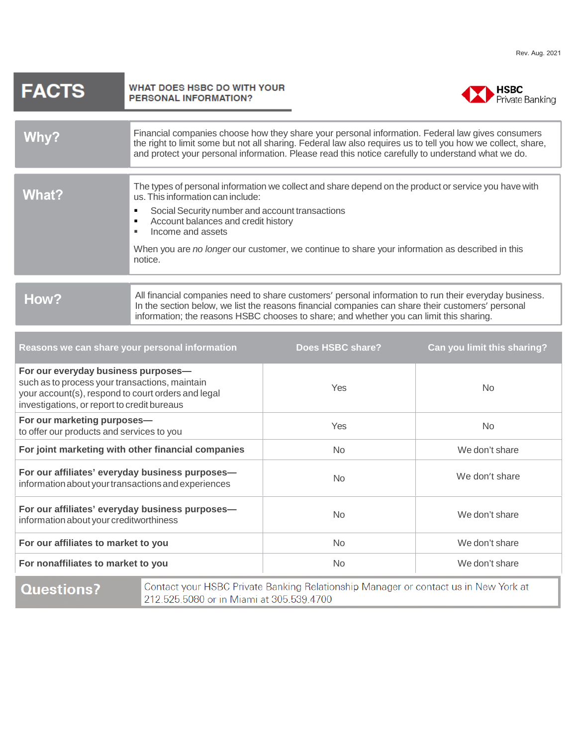**HSBC** 

Private Banking

## **FACTS WHAT DOES HSBC DO WITH YOUR PERSONAL INFORMATION?** Financial companies choose how they share your personal information. Federal law gives consumers Why? the right to limit some but not all sharing. Federal law also requires us to tell you how we collect, share, and protect your personal information. Please read this notice carefully to understand what we do. The types of personal information we collect and share depend on the product or service you have with **What?** us. This information can include:



In the section below, we list the reasons financial companies can share their customers' personal

information; the reasons HSBC chooses to share; and whether you can limit this sharing.

| Reasons we can share your personal information                                                                                                                                             | <b>Does HSBC share?</b>                                                             | Can you limit this sharing? |
|--------------------------------------------------------------------------------------------------------------------------------------------------------------------------------------------|-------------------------------------------------------------------------------------|-----------------------------|
| For our everyday business purposes-<br>such as to process your transactions, maintain<br>your account(s), respond to court orders and legal<br>investigations, or report to credit bureaus | Yes                                                                                 | N <sub>o</sub>              |
| For our marketing purposes-<br>to offer our products and services to you                                                                                                                   | Yes                                                                                 | N <sub>o</sub>              |
| For joint marketing with other financial companies                                                                                                                                         | No.                                                                                 | We don't share              |
| For our affiliates' everyday business purposes-<br>information about your transactions and experiences                                                                                     | <b>No</b>                                                                           | We don't share              |
| For our affiliates' everyday business purposes-<br>information about your creditworthiness                                                                                                 | <b>No</b>                                                                           | We don't share              |
| For our affiliates to market to you                                                                                                                                                        | <b>No</b>                                                                           | We don't share              |
| For nonaffiliates to market to you                                                                                                                                                         | <b>No</b>                                                                           | We don't share              |
| <u>A. I.A. A. I</u>                                                                                                                                                                        | Contact vous HCDC Driveto Danking Relationship Manager or contact us in New York at |                             |

**Questions?** 

Contact your HSBC Private Banking Relationship Manager or contact us in New York at 212.525.5080 or in Miami at 305.539.4700